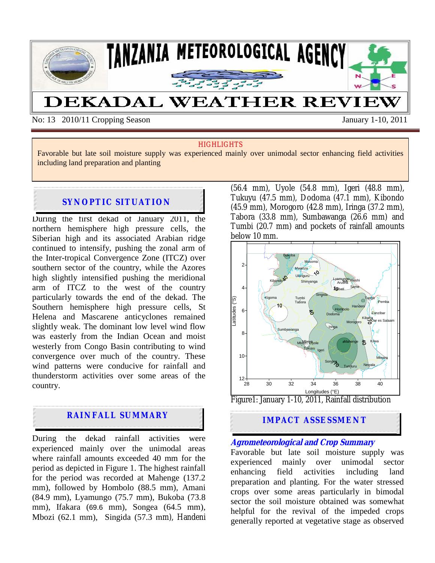

No: 13 2010/11 Cropping Season January 1-10, 2011

### **HIGHLIGHTS**

Favorable but late soil moisture supply was experienced mainly over unimodal sector enhancing field activities including land preparation and planting

## **SYNOPTIC SITUATION**

During the first dekad of January 2011, the northern hemisphere high pressure cells, the Siberian high and its associated Arabian ridge continued to intensify, pushing the zonal arm of the Inter-tropical Convergence Zone (ITCZ) over southern sector of the country, while the Azores high slightly intensified pushing the meridional arm of ITCZ to the west of the country particularly towards the end of the dekad. The Southern hemisphere high pressure cells, St Helena and Mascarene anticyclones remained slightly weak. The dominant low level wind flow was easterly from the Indian Ocean and moist westerly from Congo Basin contributing to wind convergence over much of the country. These wind patterns were conducive for rainfall and thunderstorm activities over some areas of the country.

# **RAINFALL SUMMARY**

During the dekad rainfall activities were experienced mainly over the unimodal areas where rainfall amounts exceeded 40 mm for the period as depicted in Figure 1. The highest rainfall for the period was recorded at Mahenge (137.2 mm), followed by Hombolo (88.5 mm), Amani (84.9 mm), Lyamungo (75.7 mm), Bukoba (73.8 mm), Ifakara (69.6 mm), Songea (64.5 mm), Mbozi (62.1 mm), Singida (57.3 mm), Handeni (56.4 mm), Uyole (54.8 mm), Igeri (48.8 mm), Tukuyu (47.5 mm), Dodoma (47.1 mm), Kibondo (45.9 mm), Morogoro (42.8 mm), Iringa (37.2 mm), Tabora (33.8 mm), Sumbawanga (26.6 mm) and Tumbi (20.7 mm) and pockets of rainfall amounts below 10 mm.



# **IMPACT ASSESSMENT**

## **Agrometeorological and Crop Summary**

Favorable but late soil moisture supply was experienced mainly over unimodal sector enhancing field activities including land preparation and planting. For the water stressed crops over some areas particularly in bimodal sector the soil moisture obtained was somewhat helpful for the revival of the impeded crops generally reported at vegetative stage as observed